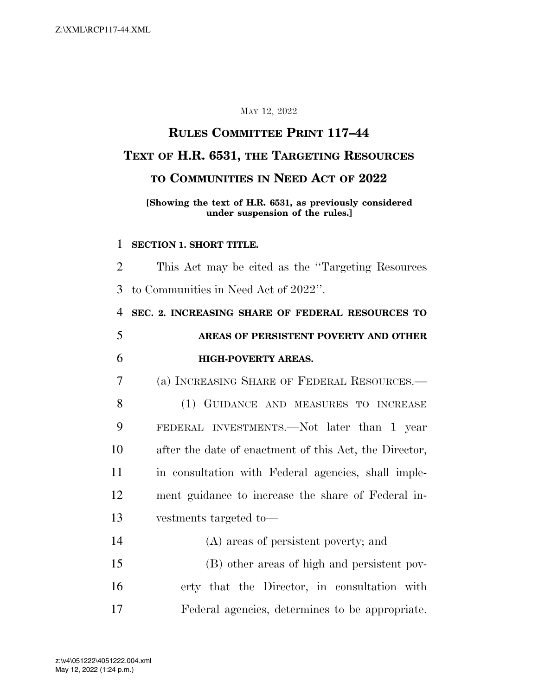### MAY 12, 2022

# **RULES COMMITTEE PRINT 117–44 TEXT OF H.R. 6531, THE TARGETING RESOURCES TO COMMUNITIES IN NEED ACT OF 2022**

### **[Showing the text of H.R. 6531, as previously considered under suspension of the rules.]**

#### **SECTION 1. SHORT TITLE.**

 This Act may be cited as the ''Targeting Resources to Communities in Need Act of 2022''.

 **SEC. 2. INCREASING SHARE OF FEDERAL RESOURCES TO AREAS OF PERSISTENT POVERTY AND OTHER HIGH-POVERTY AREAS.** 

(a) INCREASING SHARE OF FEDERAL RESOURCES.—

 (1) GUIDANCE AND MEASURES TO INCREASE FEDERAL INVESTMENTS.—Not later than 1 year after the date of enactment of this Act, the Director, in consultation with Federal agencies, shall imple- ment guidance to increase the share of Federal in-vestments targeted to—

 (A) areas of persistent poverty; and (B) other areas of high and persistent pov- erty that the Director, in consultation with Federal agencies, determines to be appropriate.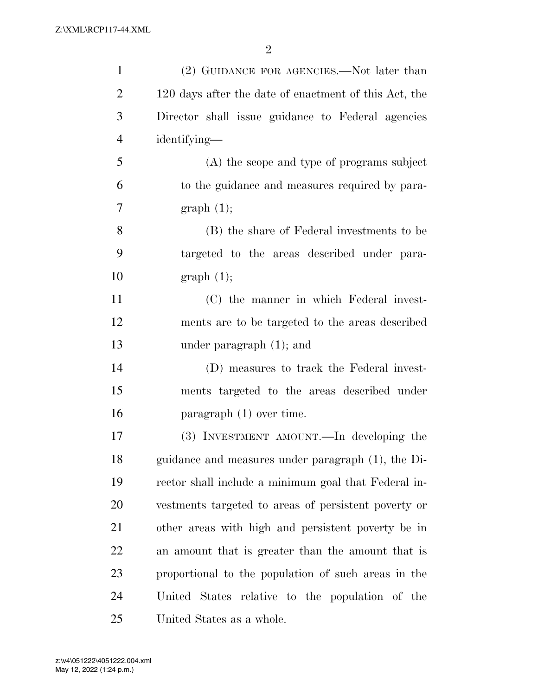| $\mathbf{1}$   | (2) GUIDANCE FOR AGENCIES.—Not later than             |
|----------------|-------------------------------------------------------|
| $\overline{2}$ | 120 days after the date of enactment of this Act, the |
| 3              | Director shall issue guidance to Federal agencies     |
| $\overline{4}$ | identifying—                                          |
| 5              | (A) the scope and type of programs subject            |
| 6              | to the guidance and measures required by para-        |
| 7              | graph(1);                                             |
| 8              | (B) the share of Federal investments to be            |
| 9              | targeted to the areas described under para-           |
| 10             | graph(1);                                             |
| 11             | (C) the manner in which Federal invest-               |
| 12             | ments are to be targeted to the areas described       |
| 13             | under paragraph $(1)$ ; and                           |
| 14             | (D) measures to track the Federal invest-             |
| 15             | ments targeted to the areas described under           |
| 16             | paragraph $(1)$ over time.                            |
| 17             | (3) INVESTMENT AMOUNT.—In developing the              |
| 18             | guidance and measures under paragraph (1), the Di-    |
| 19             | rector shall include a minimum goal that Federal in-  |
| <b>20</b>      | vestments targeted to areas of persistent poverty or  |
| 21             | other areas with high and persistent poverty be in    |
| 22             | an amount that is greater than the amount that is     |
| 23             | proportional to the population of such areas in the   |
| 24             | United States relative to the population of the       |
| 25             | United States as a whole.                             |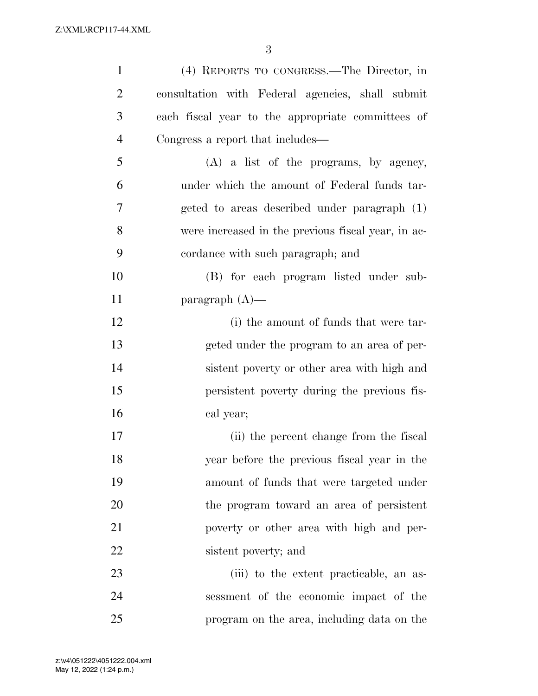| $\mathbf{1}$   | (4) REPORTS TO CONGRESS.—The Director, in          |
|----------------|----------------------------------------------------|
| $\overline{2}$ | consultation with Federal agencies, shall submit   |
| 3              | each fiscal year to the appropriate committees of  |
| $\overline{4}$ | Congress a report that includes—                   |
| 5              | $(A)$ a list of the programs, by agency,           |
| 6              | under which the amount of Federal funds tar-       |
| 7              | geted to areas described under paragraph (1)       |
| 8              | were increased in the previous fiscal year, in ac- |
| 9              | cordance with such paragraph; and                  |
| 10             | (B) for each program listed under sub-             |
| 11             | paragraph $(A)$ —                                  |
| 12             | (i) the amount of funds that were tar-             |
| 13             | geted under the program to an area of per-         |
| 14             | sistent poverty or other area with high and        |
| 15             | persistent poverty during the previous fis-        |
| 16             | cal year;                                          |
| 17             | (ii) the percent change from the fiscal            |
| 18             | year before the previous fiscal year in the        |
| 19             | amount of funds that were targeted under           |
| 20             | the program toward an area of persistent           |
| 21             | poverty or other area with high and per-           |
| 22             | sistent poverty; and                               |
| 23             | (iii) to the extent practicable, an as-            |
| 24             | sessment of the economic impact of the             |
| 25             | program on the area, including data on the         |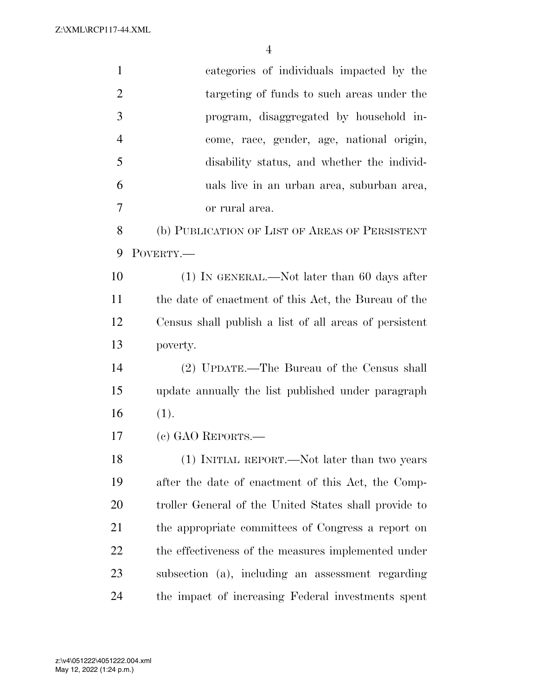Z:\XML\RCP117-44.XML

| $\mathbf{1}$   | categories of individuals impacted by the              |
|----------------|--------------------------------------------------------|
| $\overline{2}$ | targeting of funds to such areas under the             |
| 3              | program, disaggregated by household in-                |
| $\overline{4}$ | come, race, gender, age, national origin,              |
| 5              | disability status, and whether the individ-            |
| 6              | uals live in an urban area, suburban area,             |
| 7              | or rural area.                                         |
| 8              | (b) PUBLICATION OF LIST OF AREAS OF PERSISTENT         |
| 9              | POVERTY.-                                              |
| 10             | $(1)$ In GENERAL.—Not later than 60 days after         |
| 11             | the date of enactment of this Act, the Bureau of the   |
| 12             | Census shall publish a list of all areas of persistent |
| 13             | poverty.                                               |
| 14             | (2) UPDATE.—The Bureau of the Census shall             |
| 15             | update annually the list published under paragraph     |
| 16             | (1).                                                   |
| 17             | $(c)$ GAO REPORTS.—                                    |
| 18             | (1) INITIAL REPORT.—Not later than two years           |
| 19             | after the date of enactment of this Act, the Comp-     |
| 20             | troller General of the United States shall provide to  |
| 21             | the appropriate committees of Congress a report on     |
| 22             | the effectiveness of the measures implemented under    |
| 23             | subsection (a), including an assessment regarding      |
| 24             | the impact of increasing Federal investments spent     |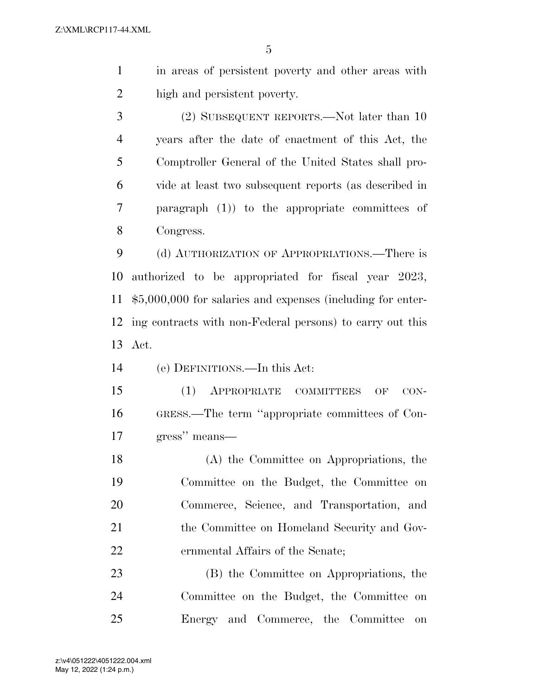in areas of persistent poverty and other areas with high and persistent poverty.

 (2) SUBSEQUENT REPORTS.—Not later than 10 years after the date of enactment of this Act, the Comptroller General of the United States shall pro- vide at least two subsequent reports (as described in paragraph (1)) to the appropriate committees of Congress.

 (d) AUTHORIZATION OF APPROPRIATIONS.—There is authorized to be appropriated for fiscal year 2023, \$5,000,000 for salaries and expenses (including for enter- ing contracts with non-Federal persons) to carry out this Act.

(e) DEFINITIONS.—In this Act:

 (1) APPROPRIATE COMMITTEES OF CON- GRESS.—The term ''appropriate committees of Con-gress'' means—

 (A) the Committee on Appropriations, the Committee on the Budget, the Committee on Commerce, Science, and Transportation, and 21 the Committee on Homeland Security and Gov-ernmental Affairs of the Senate;

 (B) the Committee on Appropriations, the Committee on the Budget, the Committee on Energy and Commerce, the Committee on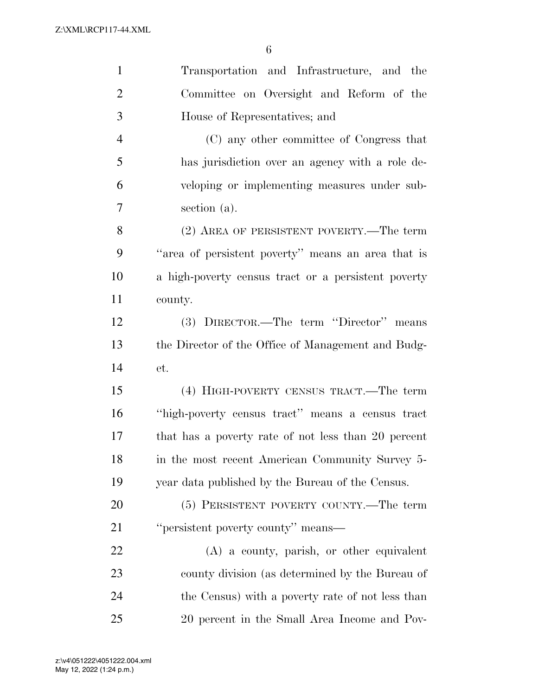| $\mathbf{1}$   | Transportation and Infrastructure, and the          |
|----------------|-----------------------------------------------------|
| $\overline{2}$ | Committee on Oversight and Reform of the            |
| 3              | House of Representatives; and                       |
| $\overline{4}$ | (C) any other committee of Congress that            |
| 5              | has jurisdiction over an agency with a role de-     |
| 6              | veloping or implementing measures under sub-        |
| 7              | section (a).                                        |
| 8              | (2) AREA OF PERSISTENT POVERTY.—The term            |
| 9              | "area of persistent poverty" means an area that is  |
| 10             | a high-poverty census tract or a persistent poverty |
| 11             | county.                                             |
| 12             | (3) DIRECTOR.—The term "Director" means             |
| 13             | the Director of the Office of Management and Budg-  |
| 14             | et.                                                 |
| 15             | (4) HIGH-POVERTY CENSUS TRACT.—The term             |
| 16             | "high-poverty census tract" means a census tract    |
| 17             | that has a poverty rate of not less than 20 percent |
| 18             | in the most recent American Community Survey 5-     |
| 19             | year data published by the Bureau of the Census.    |
| 20             | (5) PERSISTENT POVERTY COUNTY.—The term             |
| 21             | "persistent poverty county" means—                  |
| 22             | (A) a county, parish, or other equivalent           |
| 23             | county division (as determined by the Bureau of     |
| 24             | the Census) with a poverty rate of not less than    |
| 25             | 20 percent in the Small Area Income and Pov-        |